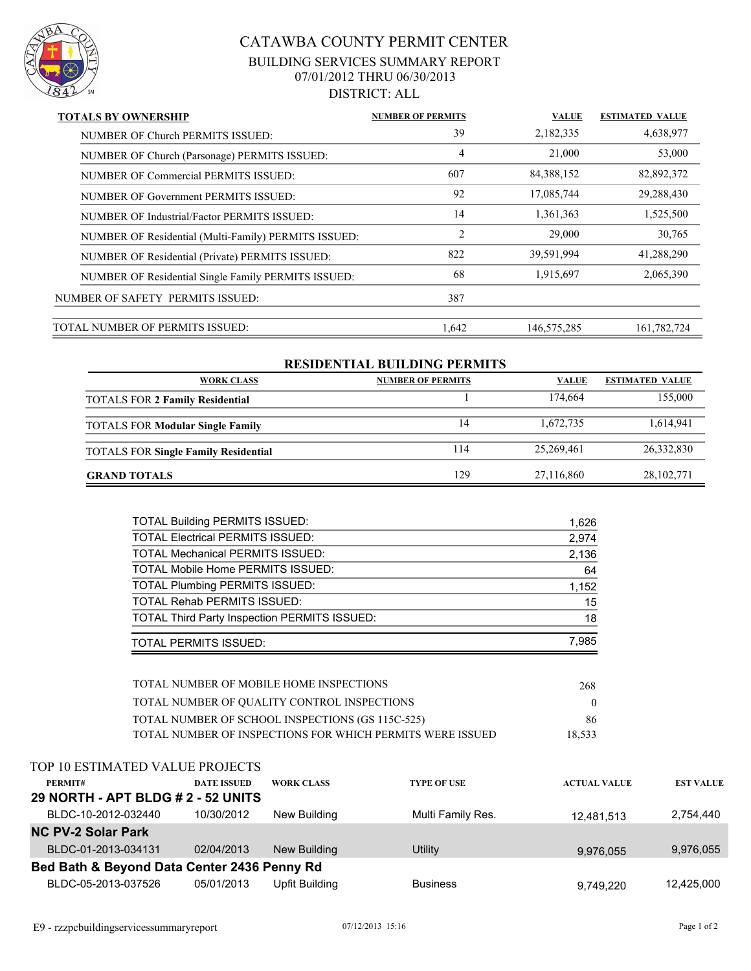

## CATAWBA COUNTY PERMIT CENTER BUILDING SERVICES SUMMARY REPORT 07/01/2012 THRU 06/30/2013 DISTRICT: ALL

| <b>TOTALS BY OWNERSHIP</b>                           | <b>NUMBER OF PERMITS</b> | <b>VALUE</b> | <b>ESTIMATED VALUE</b> |
|------------------------------------------------------|--------------------------|--------------|------------------------|
| NUMBER OF Church PERMITS ISSUED:                     | 39                       | 2,182,335    | 4,638,977              |
| NUMBER OF Church (Parsonage) PERMITS ISSUED:         | 4                        | 21,000       | 53,000                 |
| NUMBER OF Commercial PERMITS ISSUED:                 | 607                      | 84,388,152   | 82,892,372             |
| NUMBER OF Government PERMITS ISSUED:                 | 92                       | 17,085,744   | 29,288,430             |
| NUMBER OF Industrial/Factor PERMITS ISSUED:          | 14                       | 1,361,363    | 1,525,500              |
| NUMBER OF Residential (Multi-Family) PERMITS ISSUED: | 2                        | 29,000       | 30,765                 |
| NUMBER OF Residential (Private) PERMITS ISSUED:      | 822                      | 39,591,994   | 41,288,290             |
| NUMBER OF Residential Single Family PERMITS ISSUED:  | 68                       | 1,915,697    | 2,065,390              |
| NUMBER OF SAFETY PERMITS ISSUED:                     | 387                      |              |                        |
| TOTAL NUMBER OF PERMITS ISSUED:                      | 1.642                    | 146,575,285  | 161,782,724            |

| <b>RESIDENTIAL BUILDING PERMITS</b>         |                          |              |                        |  |  |  |
|---------------------------------------------|--------------------------|--------------|------------------------|--|--|--|
| <b>WORK CLASS</b>                           | <b>NUMBER OF PERMITS</b> | <b>VALUE</b> | <b>ESTIMATED VALUE</b> |  |  |  |
| <b>TOTALS FOR 2 Family Residential</b>      |                          | 174.664      | 155,000                |  |  |  |
|                                             |                          |              |                        |  |  |  |
| <b>TOTALS FOR Modular Single Family</b>     | 14                       | 1,672,735    | 1,614,941              |  |  |  |
|                                             | 114                      | 25,269,461   | 26,332,830             |  |  |  |
| <b>TOTALS FOR Single Family Residential</b> |                          |              |                        |  |  |  |
| <b>GRAND TOTALS</b>                         | 129                      | 27,116,860   | 28, 102, 771           |  |  |  |
|                                             |                          |              |                        |  |  |  |

| <b>TOTAL Building PERMITS ISSUED:</b>               | 1,626 |
|-----------------------------------------------------|-------|
| <b>TOTAL Electrical PERMITS ISSUED:</b>             | 2,974 |
| <b>TOTAL Mechanical PERMITS ISSUED:</b>             | 2,136 |
| <b>TOTAL Mobile Home PERMITS ISSUED:</b>            | 64    |
| <b>TOTAL Plumbing PERMITS ISSUED:</b>               | 1,152 |
| <b>TOTAL Rehab PERMITS ISSUED:</b>                  | 15    |
| <b>TOTAL Third Party Inspection PERMITS ISSUED:</b> | 18    |
| <b>TOTAL PERMITS ISSUED:</b>                        | 7,985 |

| TOTAL NUMBER OF MOBILE HOME INSPECTIONS                   | 268    |
|-----------------------------------------------------------|--------|
| TOTAL NUMBER OF OUALITY CONTROL INSPECTIONS               |        |
| TOTAL NUMBER OF SCHOOL INSPECTIONS (GS 115C-525)          | 86     |
| TOTAL NUMBER OF INSPECTIONS FOR WHICH PERMITS WERE ISSUED | 18.533 |

|                                             | TOP 10 ESTIMATED VALUE PROJECTS    |                    |                   |                    |                     |                  |  |
|---------------------------------------------|------------------------------------|--------------------|-------------------|--------------------|---------------------|------------------|--|
|                                             | PERMIT#                            | <b>DATE ISSUED</b> | <b>WORK CLASS</b> | <b>TYPE OF USE</b> | <b>ACTUAL VALUE</b> | <b>EST VALUE</b> |  |
|                                             | 29 NORTH - APT BLDG # 2 - 52 UNITS |                    |                   |                    |                     |                  |  |
|                                             | BLDC-10-2012-032440                | 10/30/2012         | New Building      | Multi Family Res.  | 12,481,513          | 2,754,440        |  |
| <b>NC PV-2 Solar Park</b>                   |                                    |                    |                   |                    |                     |                  |  |
|                                             | BLDC-01-2013-034131                | 02/04/2013         | New Building      | Utility            | 9,976,055           | 9,976,055        |  |
| Bed Bath & Beyond Data Center 2436 Penny Rd |                                    |                    |                   |                    |                     |                  |  |
|                                             | BLDC-05-2013-037526                | 05/01/2013         | Upfit Building    | <b>Business</b>    | 9.749.220           | 12.425.000       |  |